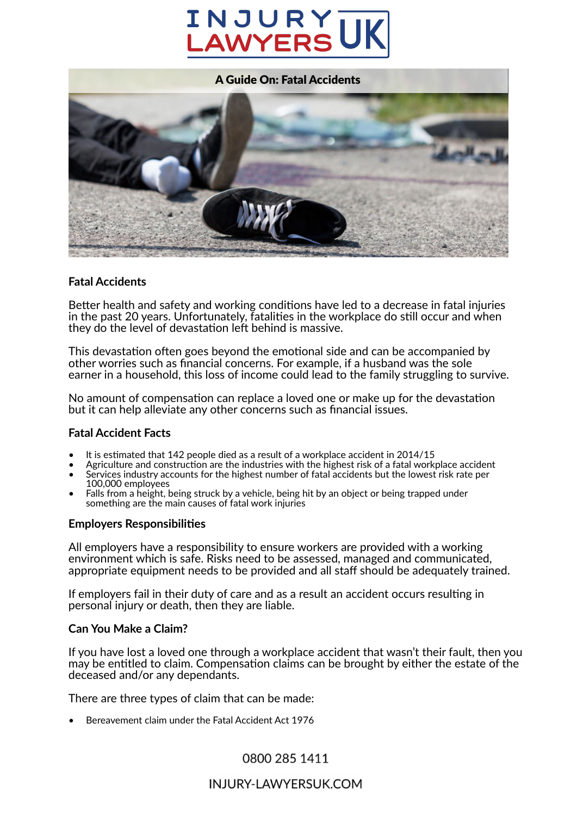# INJURY **AWYERS**



#### **Fatal Accidents**

Better health and safety and working conditions have led to a decrease in fatal injuries in the past 20 years. Unfortunately, fatalities in the workplace do still occur and when they do the level of devastation left behind is massive.

This devastation often goes beyond the emotional side and can be accompanied by other worries such as financial concerns. For example, if a husband was the sole earner in a household, this loss of income could lead to the family struggling to survive.

No amount of compensation can replace a loved one or make up for the devastation but it can help alleviate any other concerns such as financial issues.

#### **Fatal Accident Facts**

- It is estimated that 142 people died as a result of a workplace accident in 2014/15
- Agriculture and construction are the industries with the highest risk of a fatal workplace accident • Services industry accounts for the highest number of fatal accidents but the lowest risk rate per
- 100,000 employees Falls from a height, being struck by a vehicle, being hit by an object or being trapped under something are the main causes of fatal work injuries

#### **Employers Responsibili�es**

All employers have a responsibility to ensure workers are provided with a working environment which is safe. Risks need to be assessed, managed and communicated, appropriate equipment needs to be provided and all staff should be adequately trained.

If employers fail in their duty of care and as a result an accident occurs resulting in personal injury or death, then they are liable.

#### **Can You Make a Claim?**

If you have lost a loved one through a workplace accident that wasn't their fault, then you may be entitled to claim. Compensation claims can be brought by either the estate of the deceased and/or any dependants.

There are three types of claim that can be made:

• Bereavement claim under the Fatal Accident Act 1976

0800 285 1411

## INJURY-LAWYERSUK.COM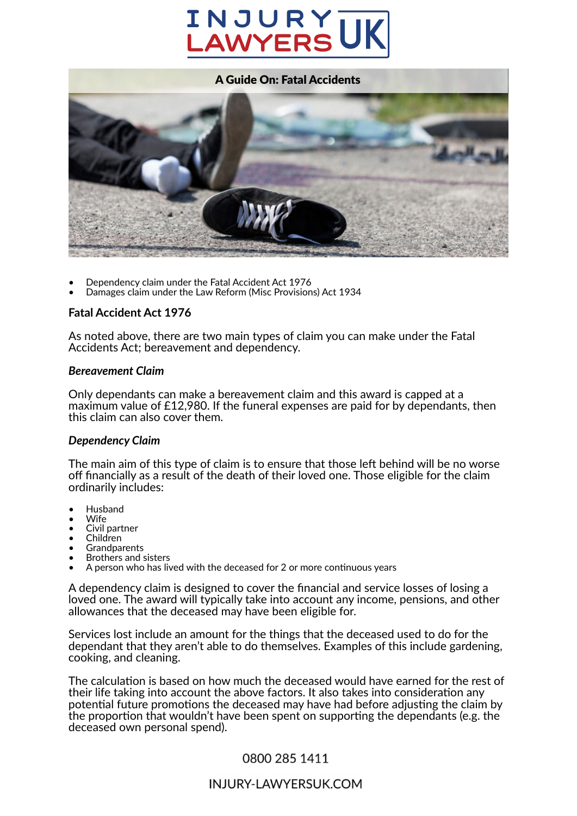# INJURY AWYERS



- Dependency claim under the Fatal Accident Act 1976
- Damages claim under the Law Reform (Misc Provisions) Act 1934

#### **Fatal Accident Act 1976**

As noted above, there are two main types of claim you can make under the Fatal Accidents Act; bereavement and dependency.

#### *Bereavement Claim*

Only dependants can make a bereavement claim and this award is capped at a maximum value of £12,980. If the funeral expenses are paid for by dependants, then this claim can also cover them.

#### *Dependency Claim*

The main aim of this type of claim is to ensure that those left behind will be no worse off financially as a result of the death of their loved one. Those eligible for the claim ordinarily includes:

- Husband
- Wife
- Civil partner
- Children
- Grandparents • Brothers and sisters
- A person who has lived with the deceased for 2 or more continuous years

A dependency claim is designed to cover the financial and service losses of losing a loved one. The award will typically take into account any income, pensions, and other allowances that the deceased may have been eligible for.

Services lost include an amount for the things that the deceased used to do for the dependant that they aren't able to do themselves. Examples of this include gardening, cooking, and cleaning.

The calculation is based on how much the deceased would have earned for the rest of their life taking into account the above factors. It also takes into consideration any potential future promotions the deceased may have had before adjusting the claim by the proportion that wouldn't have been spent on supporting the dependants (e.g. the deceased own personal spend).

## 0800 285 1411

## INJURY-LAWYERSUK.COM